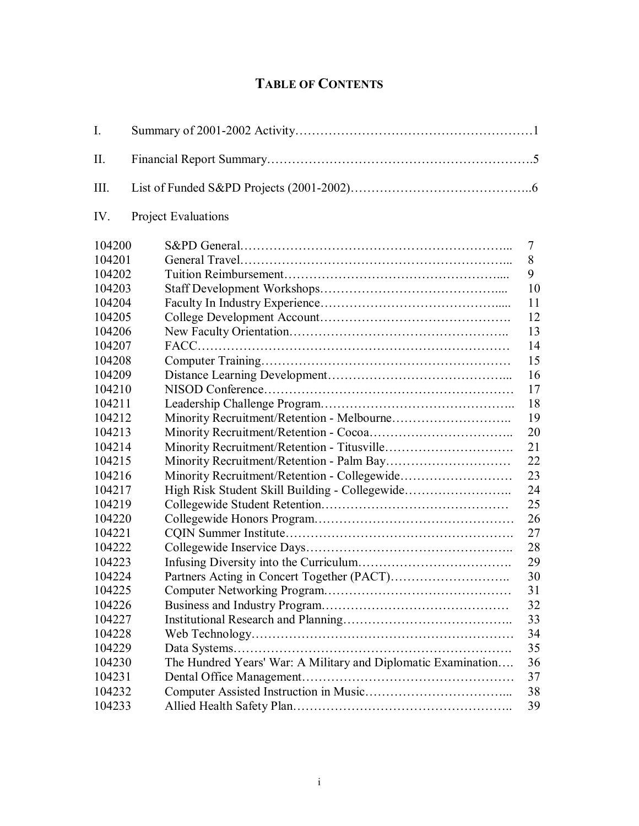## **TABLE OF CONTENTS**

<span id="page-0-0"></span>

| $\mathbf{I}$ . |                                                               |    |
|----------------|---------------------------------------------------------------|----|
| II.            |                                                               |    |
| III.           |                                                               |    |
| IV.            | <b>Project Evaluations</b>                                    |    |
| 104200         |                                                               | 7  |
| 104201         |                                                               | 8  |
| 104202         |                                                               | 9  |
| 104203         |                                                               | 10 |
| 104204         |                                                               | 11 |
| 104205         |                                                               | 12 |
| 104206         |                                                               | 13 |
| 104207         |                                                               | 14 |
| 104208         |                                                               | 15 |
| 104209         |                                                               | 16 |
| 104210         |                                                               | 17 |
| 104211         |                                                               | 18 |
| 104212         |                                                               | 19 |
| 104213         |                                                               | 20 |
| 104214         |                                                               | 21 |
| 104215         |                                                               | 22 |
| 104216         |                                                               | 23 |
| 104217         | High Risk Student Skill Building - Collegewide                | 24 |
| 104219         |                                                               | 25 |
| 104220         |                                                               | 26 |
| 104221         |                                                               | 27 |
| 104222         |                                                               | 28 |
| 104223         |                                                               | 29 |
| 104224         |                                                               | 30 |
| 104225         |                                                               | 31 |
| 104226         |                                                               | 32 |
| 104227         |                                                               | 33 |
| 104228         |                                                               | 34 |
| 104229         |                                                               | 35 |
| 104230         | The Hundred Years' War: A Military and Diplomatic Examination | 36 |
| 104231         |                                                               | 37 |
| 104232         |                                                               | 38 |
| 104233         |                                                               | 39 |